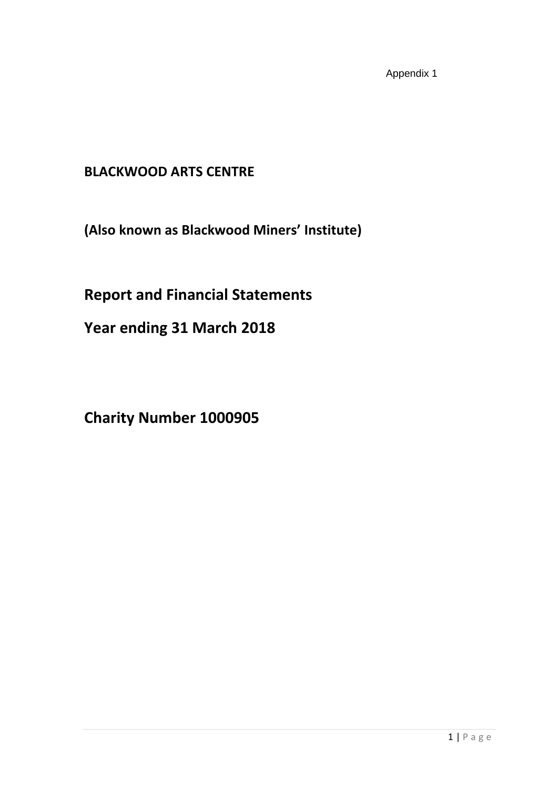Appendix 1

# **BLACKWOOD ARTS CENTRE**

**(Also known as Blackwood Miners' Institute)**

# **Report and Financial Statements**

**Year ending 31 March 2018**

**Charity Number 1000905**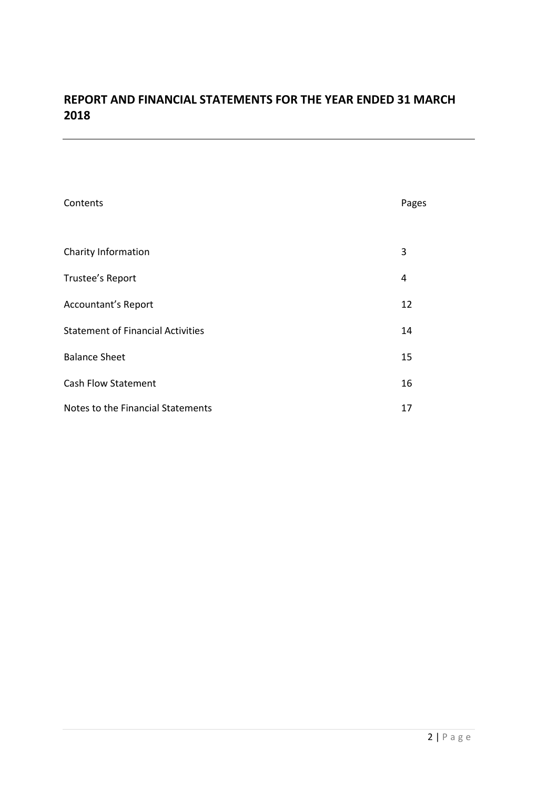## **REPORT AND FINANCIAL STATEMENTS FOR THE YEAR ENDED 31 MARCH 2018**

| Contents                                 | Pages |
|------------------------------------------|-------|
|                                          |       |
| Charity Information                      | 3     |
| Trustee's Report                         | 4     |
| <b>Accountant's Report</b>               | 12    |
| <b>Statement of Financial Activities</b> | 14    |
| <b>Balance Sheet</b>                     | 15    |
| <b>Cash Flow Statement</b>               | 16    |
| Notes to the Financial Statements        | 17    |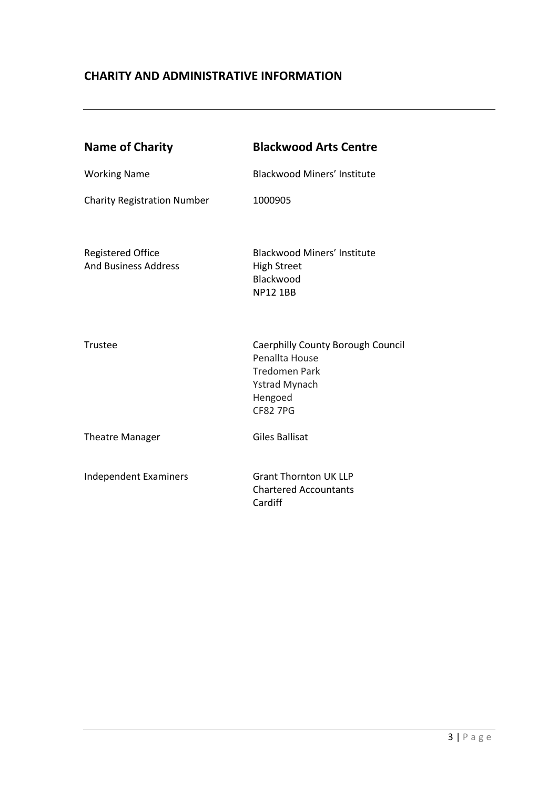## **CHARITY AND ADMINISTRATIVE INFORMATION**

| <b>Name of Charity</b>                                  | <b>Blackwood Arts Centre</b>                                                                                                      |
|---------------------------------------------------------|-----------------------------------------------------------------------------------------------------------------------------------|
| <b>Working Name</b>                                     | <b>Blackwood Miners' Institute</b>                                                                                                |
| <b>Charity Registration Number</b>                      | 1000905                                                                                                                           |
| <b>Registered Office</b><br><b>And Business Address</b> | <b>Blackwood Miners' Institute</b><br><b>High Street</b><br>Blackwood<br><b>NP12 1BB</b>                                          |
| Trustee                                                 | Caerphilly County Borough Council<br>Penallta House<br><b>Tredomen Park</b><br><b>Ystrad Mynach</b><br>Hengoed<br><b>CF82 7PG</b> |
| <b>Theatre Manager</b>                                  | <b>Giles Ballisat</b>                                                                                                             |
| <b>Independent Examiners</b>                            | <b>Grant Thornton UK LLP</b><br><b>Chartered Accountants</b><br>Cardiff                                                           |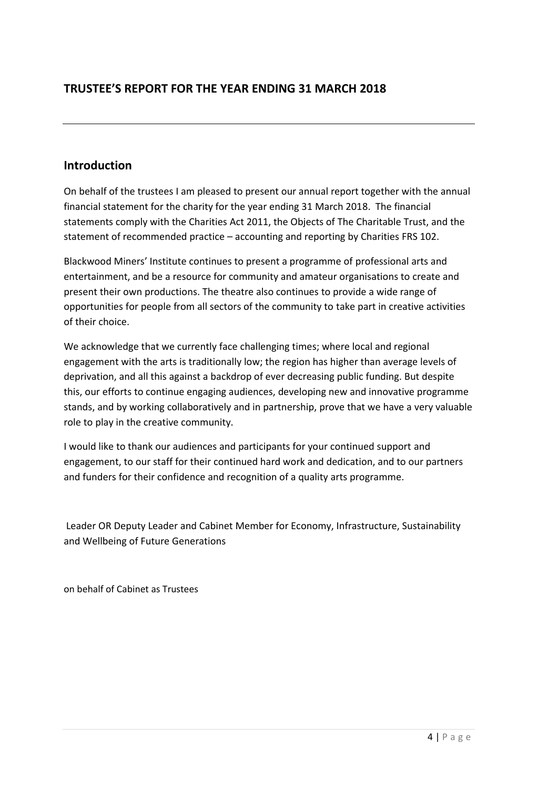## **TRUSTEE'S REPORT FOR THE YEAR ENDING 31 MARCH 2018**

### **Introduction**

On behalf of the trustees I am pleased to present our annual report together with the annual financial statement for the charity for the year ending 31 March 2018. The financial statements comply with the Charities Act 2011, the Objects of The Charitable Trust, and the statement of recommended practice – accounting and reporting by Charities FRS 102.

Blackwood Miners' Institute continues to present a programme of professional arts and entertainment, and be a resource for community and amateur organisations to create and present their own productions. The theatre also continues to provide a wide range of opportunities for people from all sectors of the community to take part in creative activities of their choice.

We acknowledge that we currently face challenging times; where local and regional engagement with the arts is traditionally low; the region has higher than average levels of deprivation, and all this against a backdrop of ever decreasing public funding. But despite this, our efforts to continue engaging audiences, developing new and innovative programme stands, and by working collaboratively and in partnership, prove that we have a very valuable role to play in the creative community.

I would like to thank our audiences and participants for your continued support and engagement, to our staff for their continued hard work and dedication, and to our partners and funders for their confidence and recognition of a quality arts programme.

Leader OR Deputy Leader and Cabinet Member for Economy, Infrastructure, Sustainability and Wellbeing of Future Generations

on behalf of Cabinet as Trustees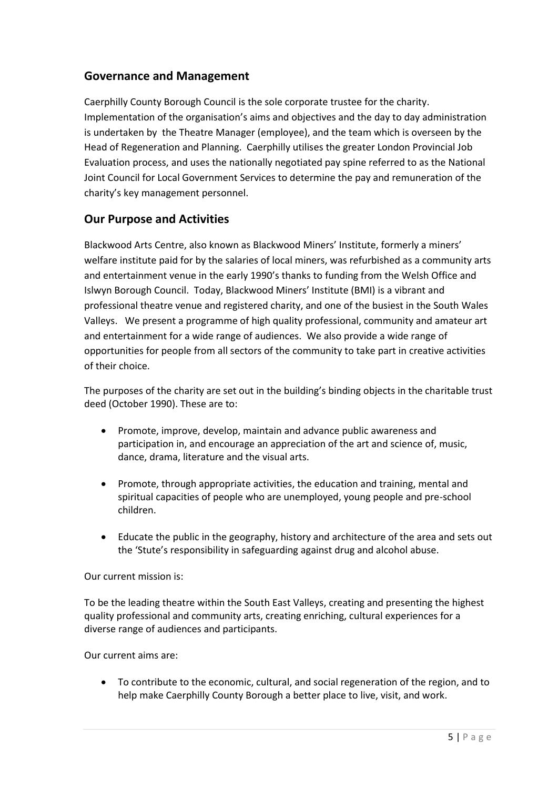### **Governance and Management**

Caerphilly County Borough Council is the sole corporate trustee for the charity. Implementation of the organisation's aims and objectives and the day to day administration is undertaken by the Theatre Manager (employee), and the team which is overseen by the Head of Regeneration and Planning. Caerphilly utilises the greater London Provincial Job Evaluation process, and uses the nationally negotiated pay spine referred to as the National Joint Council for Local Government Services to determine the pay and remuneration of the charity's key management personnel.

### **Our Purpose and Activities**

Blackwood Arts Centre, also known as Blackwood Miners' Institute, formerly a miners' welfare institute paid for by the salaries of local miners, was refurbished as a community arts and entertainment venue in the early 1990's thanks to funding from the Welsh Office and Islwyn Borough Council. Today, Blackwood Miners' Institute (BMI) is a vibrant and professional theatre venue and registered charity, and one of the busiest in the South Wales Valleys. We present a programme of high quality professional, community and amateur art and entertainment for a wide range of audiences. We also provide a wide range of opportunities for people from all sectors of the community to take part in creative activities of their choice.

The purposes of the charity are set out in the building's binding objects in the charitable trust deed (October 1990). These are to:

- Promote, improve, develop, maintain and advance public awareness and participation in, and encourage an appreciation of the art and science of, music, dance, drama, literature and the visual arts.
- Promote, through appropriate activities, the education and training, mental and spiritual capacities of people who are unemployed, young people and pre-school children.
- Educate the public in the geography, history and architecture of the area and sets out the 'Stute's responsibility in safeguarding against drug and alcohol abuse.

### Our current mission is:

To be the leading theatre within the South East Valleys, creating and presenting the highest quality professional and community arts, creating enriching, cultural experiences for a diverse range of audiences and participants.

Our current aims are:

 To contribute to the economic, cultural, and social regeneration of the region, and to help make Caerphilly County Borough a better place to live, visit, and work.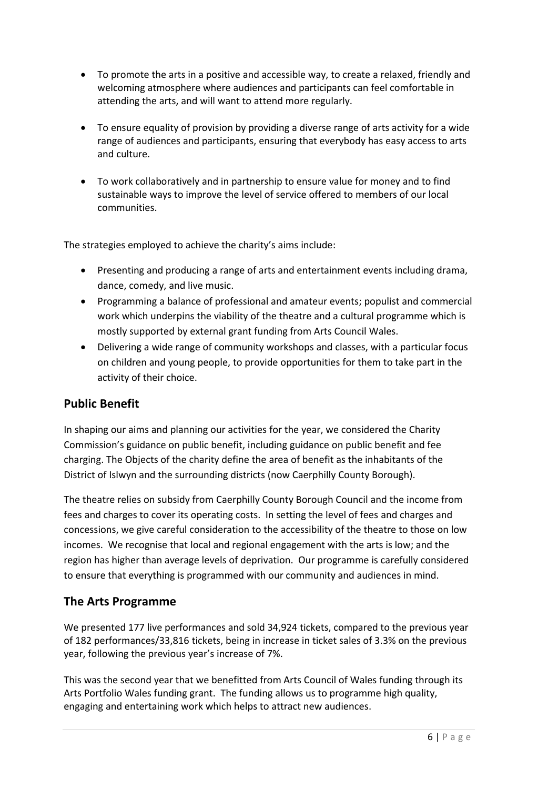- To promote the arts in a positive and accessible way, to create a relaxed, friendly and welcoming atmosphere where audiences and participants can feel comfortable in attending the arts, and will want to attend more regularly.
- To ensure equality of provision by providing a diverse range of arts activity for a wide range of audiences and participants, ensuring that everybody has easy access to arts and culture.
- To work collaboratively and in partnership to ensure value for money and to find sustainable ways to improve the level of service offered to members of our local communities.

The strategies employed to achieve the charity's aims include:

- Presenting and producing a range of arts and entertainment events including drama, dance, comedy, and live music.
- Programming a balance of professional and amateur events; populist and commercial work which underpins the viability of the theatre and a cultural programme which is mostly supported by external grant funding from Arts Council Wales.
- Delivering a wide range of community workshops and classes, with a particular focus on children and young people, to provide opportunities for them to take part in the activity of their choice.

## **Public Benefit**

In shaping our aims and planning our activities for the year, we considered the Charity Commission's guidance on public benefit, including guidance on public benefit and fee charging. The Objects of the charity define the area of benefit as the inhabitants of the District of Islwyn and the surrounding districts (now Caerphilly County Borough).

The theatre relies on subsidy from Caerphilly County Borough Council and the income from fees and charges to cover its operating costs. In setting the level of fees and charges and concessions, we give careful consideration to the accessibility of the theatre to those on low incomes. We recognise that local and regional engagement with the arts is low; and the region has higher than average levels of deprivation. Our programme is carefully considered to ensure that everything is programmed with our community and audiences in mind.

### **The Arts Programme**

We presented 177 live performances and sold 34,924 tickets, compared to the previous year of 182 performances/33,816 tickets, being in increase in ticket sales of 3.3% on the previous year, following the previous year's increase of 7%.

This was the second year that we benefitted from Arts Council of Wales funding through its Arts Portfolio Wales funding grant. The funding allows us to programme high quality, engaging and entertaining work which helps to attract new audiences.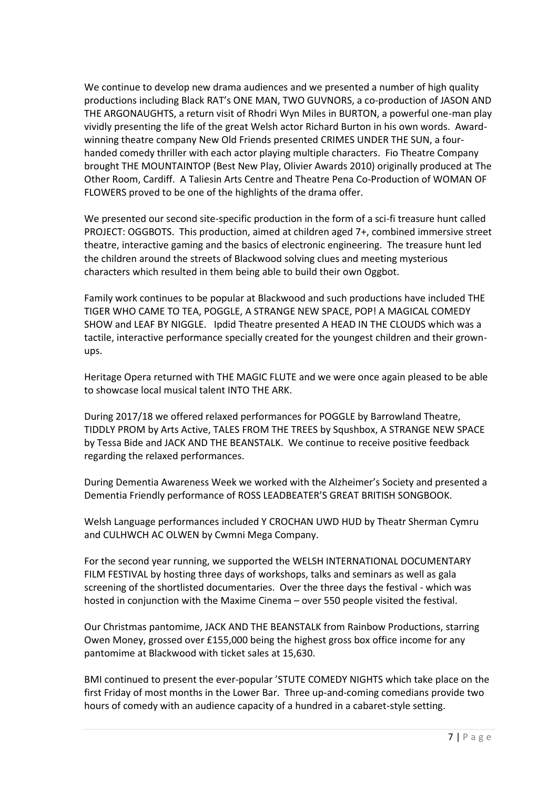We continue to develop new drama audiences and we presented a number of high quality productions including Black RAT's ONE MAN, TWO GUVNORS, a co-production of JASON AND THE ARGONAUGHTS, a return visit of Rhodri Wyn Miles in BURTON, a powerful one-man play vividly presenting the life of the great Welsh actor Richard Burton in his own words. Awardwinning theatre company New Old Friends presented CRIMES UNDER THE SUN, a fourhanded comedy thriller with each actor playing multiple characters. Fio Theatre Company brought THE MOUNTAINTOP (Best New Play, Olivier Awards 2010) originally produced at The Other Room, Cardiff. A Taliesin Arts Centre and Theatre Pena Co-Production of WOMAN OF FLOWERS proved to be one of the highlights of the drama offer.

We presented our second site-specific production in the form of a sci-fi treasure hunt called PROJECT: OGGBOTS. This production, aimed at children aged 7+, combined immersive street theatre, interactive gaming and the basics of electronic engineering. The treasure hunt led the children around the streets of Blackwood solving clues and meeting mysterious characters which resulted in them being able to build their own Oggbot.

Family work continues to be popular at Blackwood and such productions have included THE TIGER WHO CAME TO TEA, POGGLE, A STRANGE NEW SPACE, POP! A MAGICAL COMEDY SHOW and LEAF BY NIGGLE. Ipdid Theatre presented A HEAD IN THE CLOUDS which was a tactile, interactive performance specially created for the youngest children and their grownups.

Heritage Opera returned with THE MAGIC FLUTE and we were once again pleased to be able to showcase local musical talent INTO THE ARK.

During 2017/18 we offered relaxed performances for POGGLE by Barrowland Theatre, TIDDLY PROM by Arts Active, TALES FROM THE TREES by Squshbox, A STRANGE NEW SPACE by Tessa Bide and JACK AND THE BEANSTALK. We continue to receive positive feedback regarding the relaxed performances.

During Dementia Awareness Week we worked with the Alzheimer's Society and presented a Dementia Friendly performance of ROSS LEADBEATER'S GREAT BRITISH SONGBOOK.

Welsh Language performances included Y CROCHAN UWD HUD by Theatr Sherman Cymru and CULHWCH AC OLWEN by Cwmni Mega Company.

For the second year running, we supported the WELSH INTERNATIONAL DOCUMENTARY FILM FESTIVAL by hosting three days of workshops, talks and seminars as well as gala screening of the shortlisted documentaries. Over the three days the festival - which was hosted in conjunction with the Maxime Cinema – over 550 people visited the festival.

Our Christmas pantomime, JACK AND THE BEANSTALK from Rainbow Productions, starring Owen Money, grossed over £155,000 being the highest gross box office income for any pantomime at Blackwood with ticket sales at 15,630.

BMI continued to present the ever-popular 'STUTE COMEDY NIGHTS which take place on the first Friday of most months in the Lower Bar. Three up-and-coming comedians provide two hours of comedy with an audience capacity of a hundred in a cabaret-style setting.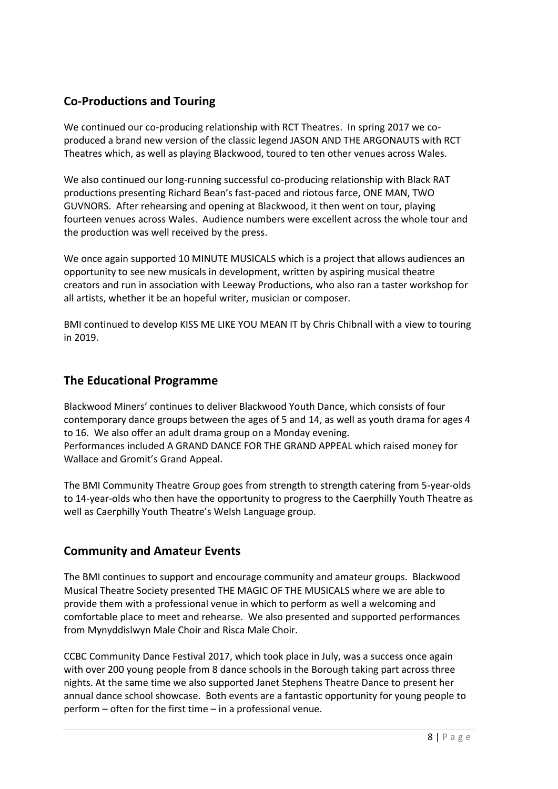## **Co-Productions and Touring**

We continued our co-producing relationship with RCT Theatres. In spring 2017 we coproduced a brand new version of the classic legend JASON AND THE ARGONAUTS with RCT Theatres which, as well as playing Blackwood, toured to ten other venues across Wales.

We also continued our long-running successful co-producing relationship with Black RAT productions presenting Richard Bean's fast-paced and riotous farce, ONE MAN, TWO GUVNORS. After rehearsing and opening at Blackwood, it then went on tour, playing fourteen venues across Wales. Audience numbers were excellent across the whole tour and the production was well received by the press.

We once again supported 10 MINUTE MUSICALS which is a project that allows audiences an opportunity to see new musicals in development, written by aspiring musical theatre creators and run in association with Leeway Productions, who also ran a taster workshop for all artists, whether it be an hopeful writer, musician or composer.

BMI continued to develop KISS ME LIKE YOU MEAN IT by Chris Chibnall with a view to touring in 2019.

### **The Educational Programme**

Blackwood Miners' continues to deliver Blackwood Youth Dance, which consists of four contemporary dance groups between the ages of 5 and 14, as well as youth drama for ages 4 to 16. We also offer an adult drama group on a Monday evening. Performances included A GRAND DANCE FOR THE GRAND APPEAL which raised money for Wallace and Gromit's Grand Appeal.

The BMI Community Theatre Group goes from strength to strength catering from 5-year-olds to 14-year-olds who then have the opportunity to progress to the Caerphilly Youth Theatre as well as Caerphilly Youth Theatre's Welsh Language group.

### **Community and Amateur Events**

The BMI continues to support and encourage community and amateur groups. Blackwood Musical Theatre Society presented THE MAGIC OF THE MUSICALS where we are able to provide them with a professional venue in which to perform as well a welcoming and comfortable place to meet and rehearse. We also presented and supported performances from Mynyddislwyn Male Choir and Risca Male Choir.

CCBC Community Dance Festival 2017, which took place in July, was a success once again with over 200 young people from 8 dance schools in the Borough taking part across three nights. At the same time we also supported Janet Stephens Theatre Dance to present her annual dance school showcase. Both events are a fantastic opportunity for young people to perform – often for the first time – in a professional venue.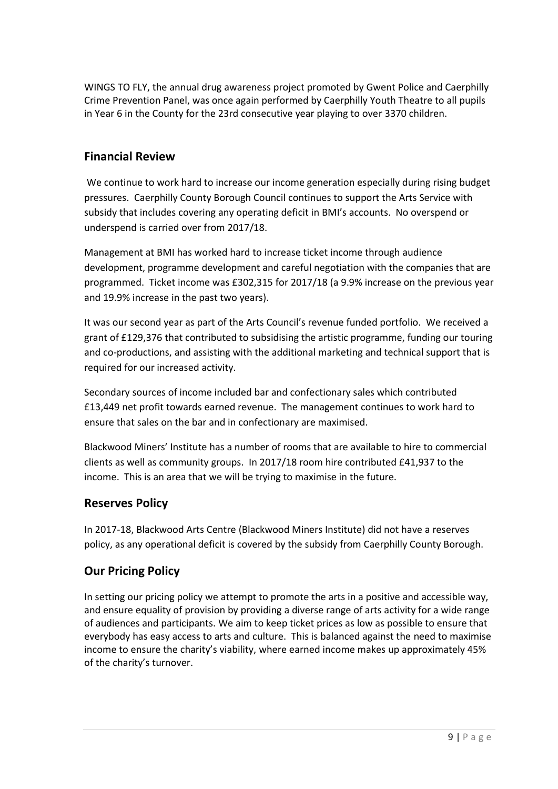WINGS TO FLY, the annual drug awareness project promoted by Gwent Police and Caerphilly Crime Prevention Panel, was once again performed by Caerphilly Youth Theatre to all pupils in Year 6 in the County for the 23rd consecutive year playing to over 3370 children.

### **Financial Review**

We continue to work hard to increase our income generation especially during rising budget pressures. Caerphilly County Borough Council continues to support the Arts Service with subsidy that includes covering any operating deficit in BMI's accounts. No overspend or underspend is carried over from 2017/18.

Management at BMI has worked hard to increase ticket income through audience development, programme development and careful negotiation with the companies that are programmed. Ticket income was £302,315 for 2017/18 (a 9.9% increase on the previous year and 19.9% increase in the past two years).

It was our second year as part of the Arts Council's revenue funded portfolio. We received a grant of £129,376 that contributed to subsidising the artistic programme, funding our touring and co-productions, and assisting with the additional marketing and technical support that is required for our increased activity.

Secondary sources of income included bar and confectionary sales which contributed £13,449 net profit towards earned revenue. The management continues to work hard to ensure that sales on the bar and in confectionary are maximised.

Blackwood Miners' Institute has a number of rooms that are available to hire to commercial clients as well as community groups. In 2017/18 room hire contributed £41,937 to the income. This is an area that we will be trying to maximise in the future.

### **Reserves Policy**

In 2017-18, Blackwood Arts Centre (Blackwood Miners Institute) did not have a reserves policy, as any operational deficit is covered by the subsidy from Caerphilly County Borough.

### **Our Pricing Policy**

In setting our pricing policy we attempt to promote the arts in a positive and accessible way, and ensure equality of provision by providing a diverse range of arts activity for a wide range of audiences and participants. We aim to keep ticket prices as low as possible to ensure that everybody has easy access to arts and culture. This is balanced against the need to maximise income to ensure the charity's viability, where earned income makes up approximately 45% of the charity's turnover.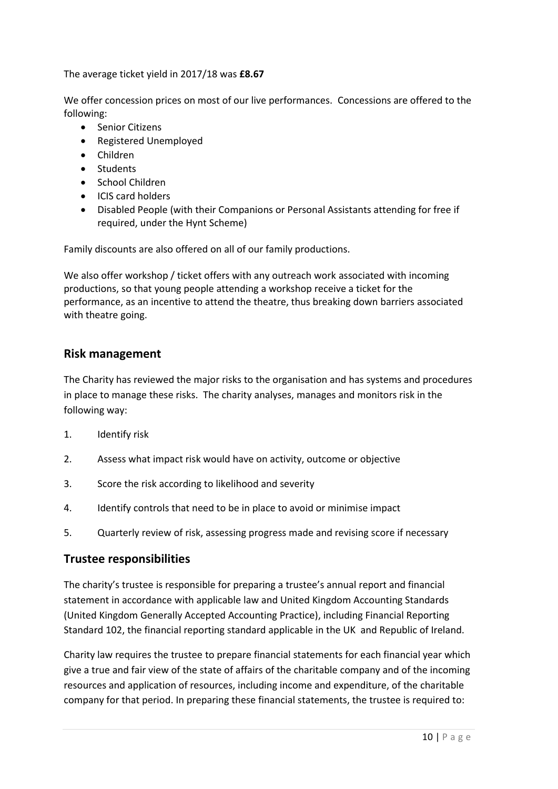The average ticket yield in 2017/18 was **£8.67**

We offer concession prices on most of our live performances. Concessions are offered to the following:

- Senior Citizens
- Registered Unemployed
- Children
- Students
- School Children
- ICIS card holders
- Disabled People (with their Companions or Personal Assistants attending for free if required, under the Hynt Scheme)

Family discounts are also offered on all of our family productions.

We also offer workshop / ticket offers with any outreach work associated with incoming productions, so that young people attending a workshop receive a ticket for the performance, as an incentive to attend the theatre, thus breaking down barriers associated with theatre going.

### **Risk management**

The Charity has reviewed the major risks to the organisation and has systems and procedures in place to manage these risks. The charity analyses, manages and monitors risk in the following way:

- 1. Identify risk
- 2. Assess what impact risk would have on activity, outcome or objective
- 3. Score the risk according to likelihood and severity
- 4. Identify controls that need to be in place to avoid or minimise impact
- 5. Quarterly review of risk, assessing progress made and revising score if necessary

### **Trustee responsibilities**

The charity's trustee is responsible for preparing a trustee's annual report and financial statement in accordance with applicable law and United Kingdom Accounting Standards (United Kingdom Generally Accepted Accounting Practice), including Financial Reporting Standard 102, the financial reporting standard applicable in the UK and Republic of Ireland.

Charity law requires the trustee to prepare financial statements for each financial year which give a true and fair view of the state of affairs of the charitable company and of the incoming resources and application of resources, including income and expenditure, of the charitable company for that period. In preparing these financial statements, the trustee is required to: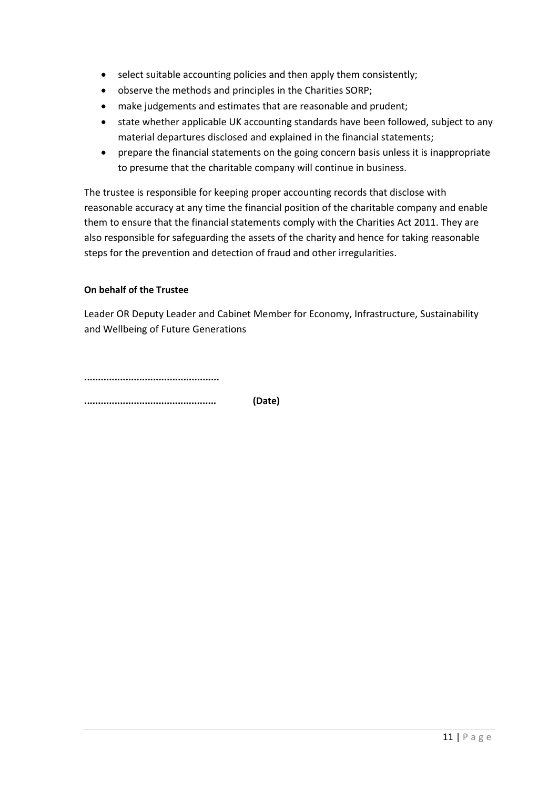- select suitable accounting policies and then apply them consistently;
- observe the methods and principles in the Charities SORP;
- make judgements and estimates that are reasonable and prudent;
- state whether applicable UK accounting standards have been followed, subject to any material departures disclosed and explained in the financial statements;
- prepare the financial statements on the going concern basis unless it is inappropriate to presume that the charitable company will continue in business.

The trustee is responsible for keeping proper accounting records that disclose with reasonable accuracy at any time the financial position of the charitable company and enable them to ensure that the financial statements comply with the Charities Act 2011. They are also responsible for safeguarding the assets of the charity and hence for taking reasonable steps for the prevention and detection of fraud and other irregularities.

### **On behalf of the Trustee**

Leader OR Deputy Leader and Cabinet Member for Economy, Infrastructure, Sustainability and Wellbeing of Future Generations

**.................................................**

**................................................ (Date)**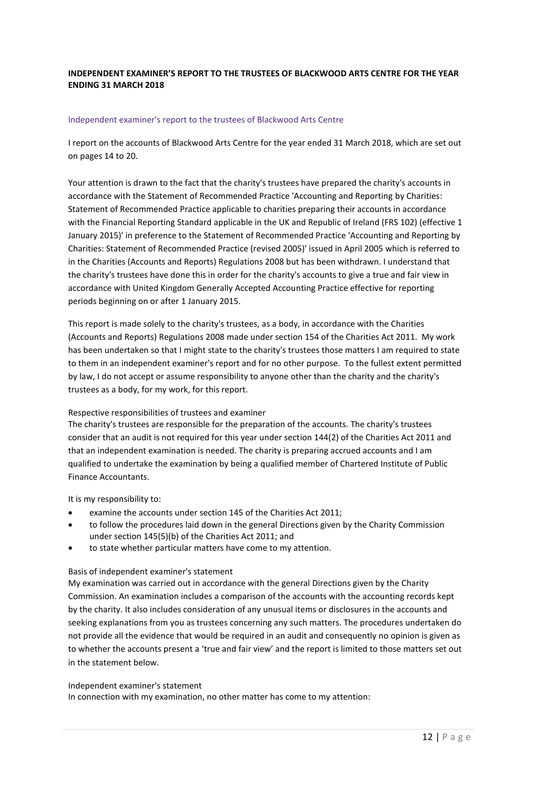### **INDEPENDENT EXAMINER'S REPORT TO THE TRUSTEES OF BLACKWOOD ARTS CENTRE FOR THE YEAR ENDING 31 MARCH 2018**

#### Independent examiner's report to the trustees of Blackwood Arts Centre

I report on the accounts of Blackwood Arts Centre for the year ended 31 March 2018, which are set out on pages 14 to 20.

Your attention is drawn to the fact that the charity's trustees have prepared the charity's accounts in accordance with the Statement of Recommended Practice 'Accounting and Reporting by Charities: Statement of Recommended Practice applicable to charities preparing their accounts in accordance with the Financial Reporting Standard applicable in the UK and Republic of Ireland (FRS 102) (effective 1 January 2015)' in preference to the Statement of Recommended Practice 'Accounting and Reporting by Charities: Statement of Recommended Practice (revised 2005)' issued in April 2005 which is referred to in the Charities (Accounts and Reports) Regulations 2008 but has been withdrawn. I understand that the charity's trustees have done this in order for the charity's accounts to give a true and fair view in accordance with United Kingdom Generally Accepted Accounting Practice effective for reporting periods beginning on or after 1 January 2015.

This report is made solely to the charity's trustees, as a body, in accordance with the Charities (Accounts and Reports) Regulations 2008 made under section 154 of the Charities Act 2011. My work has been undertaken so that I might state to the charity's trustees those matters I am required to state to them in an independent examiner's report and for no other purpose. To the fullest extent permitted by law, I do not accept or assume responsibility to anyone other than the charity and the charity's trustees as a body, for my work, for this report.

#### Respective responsibilities of trustees and examiner

The charity's trustees are responsible for the preparation of the accounts. The charity's trustees consider that an audit is not required for this year under section 144(2) of the Charities Act 2011 and that an independent examination is needed. The charity is preparing accrued accounts and I am qualified to undertake the examination by being a qualified member of Chartered Institute of Public Finance Accountants.

It is my responsibility to:

- examine the accounts under section 145 of the Charities Act 2011;
- to follow the procedures laid down in the general Directions given by the Charity Commission under section 145(5)(b) of the Charities Act 2011; and
- to state whether particular matters have come to my attention.

#### Basis of independent examiner's statement

My examination was carried out in accordance with the general Directions given by the Charity Commission. An examination includes a comparison of the accounts with the accounting records kept by the charity. It also includes consideration of any unusual items or disclosures in the accounts and seeking explanations from you as trustees concerning any such matters. The procedures undertaken do not provide all the evidence that would be required in an audit and consequently no opinion is given as to whether the accounts present a 'true and fair view' and the report is limited to those matters set out in the statement below.

#### Independent examiner's statement

In connection with my examination, no other matter has come to my attention: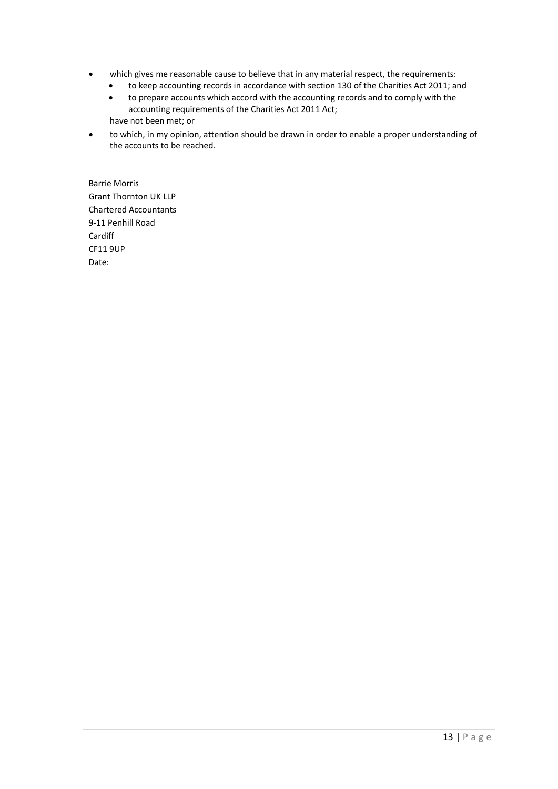- which gives me reasonable cause to believe that in any material respect, the requirements:
	- to keep accounting records in accordance with section 130 of the Charities Act 2011; and
	- to prepare accounts which accord with the accounting records and to comply with the accounting requirements of the Charities Act 2011 Act; have not been met; or
- to which, in my opinion, attention should be drawn in order to enable a proper understanding of the accounts to be reached.

Barrie Morris Grant Thornton UK LLP Chartered Accountants 9-11 Penhill Road Cardiff CF11 9UP Date: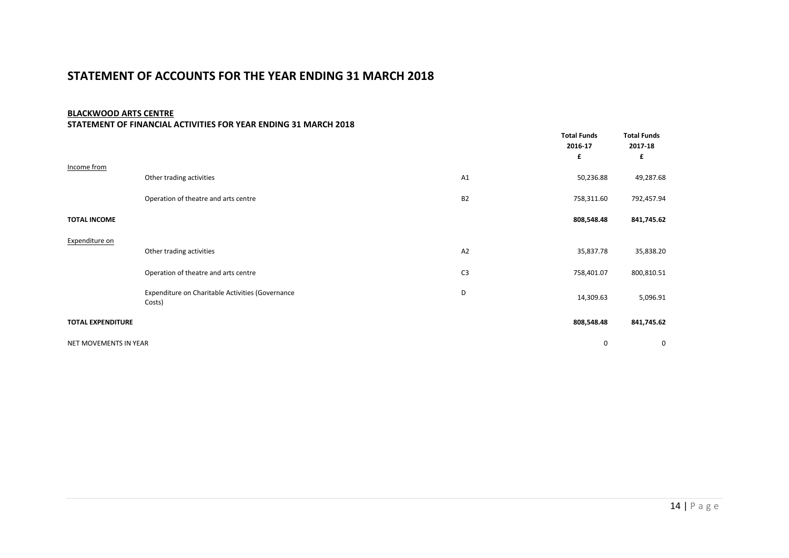### **STATEMENT OF ACCOUNTS FOR THE YEAR ENDING 31 MARCH 2018**

#### **BLACKWOOD ARTS CENTRE**

#### **STATEMENT OF FINANCIAL ACTIVITIES FOR YEAR ENDING 31 MARCH 2018**

|                          |                                                            |                | <b>Total Funds</b><br>2016-17<br>£ | <b>Total Funds</b><br>2017-18<br>£ |
|--------------------------|------------------------------------------------------------|----------------|------------------------------------|------------------------------------|
| Income from              | Other trading activities                                   | A <sub>1</sub> | 50,236.88                          | 49,287.68                          |
|                          | Operation of theatre and arts centre                       | <b>B2</b>      | 758,311.60                         | 792,457.94                         |
| <b>TOTAL INCOME</b>      |                                                            |                | 808,548.48                         | 841,745.62                         |
| Expenditure on           |                                                            |                |                                    |                                    |
|                          | Other trading activities                                   | A2             | 35,837.78                          | 35,838.20                          |
|                          | Operation of theatre and arts centre                       | C <sub>3</sub> | 758,401.07                         | 800,810.51                         |
|                          | Expenditure on Charitable Activities (Governance<br>Costs) | D              | 14,309.63                          | 5,096.91                           |
| <b>TOTAL EXPENDITURE</b> |                                                            |                | 808,548.48                         | 841,745.62                         |
| NET MOVEMENTS IN YEAR    |                                                            |                | 0                                  | 0                                  |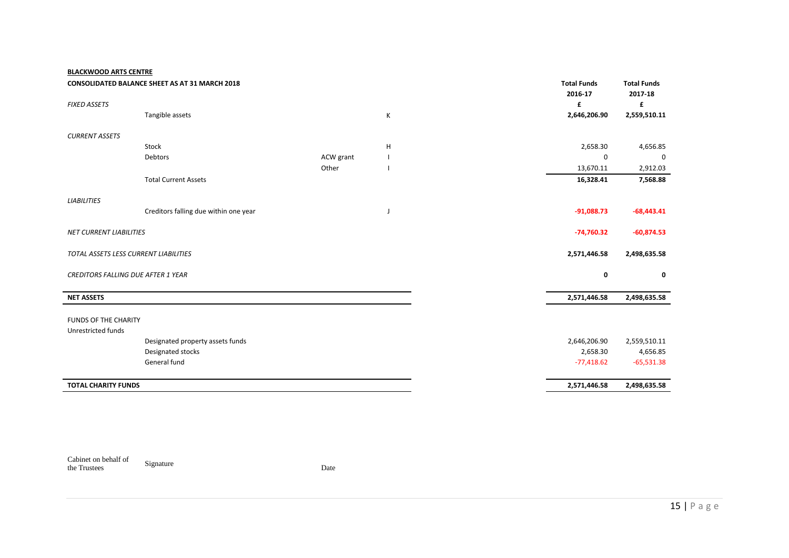### **BLACKWOOD ARTS CENTRE**

|                                           | <b>CONSOLIDATED BALANCE SHEET AS AT 31 MARCH 2018</b> |           |   | <b>Total Funds</b> |              | <b>Total Funds</b> |
|-------------------------------------------|-------------------------------------------------------|-----------|---|--------------------|--------------|--------------------|
| <b>FIXED ASSETS</b>                       |                                                       |           |   | 2016-17<br>£       |              | 2017-18<br>£       |
|                                           | Tangible assets                                       |           | К |                    | 2,646,206.90 | 2,559,510.11       |
| <b>CURRENT ASSETS</b>                     |                                                       |           |   |                    |              |                    |
|                                           | Stock                                                 |           | H |                    | 2,658.30     | 4,656.85           |
|                                           | Debtors                                               | ACW grant |   |                    | 0            | 0                  |
|                                           |                                                       | Other     |   |                    | 13,670.11    | 2,912.03           |
|                                           | <b>Total Current Assets</b>                           |           |   |                    | 16,328.41    | 7,568.88           |
| <b>LIABILITIES</b>                        |                                                       |           |   |                    |              |                    |
|                                           | Creditors falling due within one year                 |           | J |                    | $-91,088.73$ | $-68,443.41$       |
|                                           |                                                       |           |   |                    |              |                    |
| <b>NET CURRENT LIABILITIES</b>            |                                                       |           |   |                    | $-74,760.32$ | $-60,874.53$       |
| TOTAL ASSETS LESS CURRENT LIABILITIES     |                                                       |           |   |                    | 2,571,446.58 | 2,498,635.58       |
|                                           |                                                       |           |   |                    |              |                    |
| <b>CREDITORS FALLING DUE AFTER 1 YEAR</b> |                                                       |           |   |                    | 0            | 0                  |
|                                           |                                                       |           |   |                    |              |                    |
| <b>NET ASSETS</b>                         |                                                       |           |   |                    | 2,571,446.58 | 2,498,635.58       |
| FUNDS OF THE CHARITY                      |                                                       |           |   |                    |              |                    |
| Unrestricted funds                        |                                                       |           |   |                    |              |                    |
|                                           | Designated property assets funds                      |           |   |                    | 2,646,206.90 | 2,559,510.11       |
|                                           | Designated stocks                                     |           |   |                    | 2,658.30     | 4,656.85           |
|                                           | General fund                                          |           |   |                    | $-77,418.62$ | $-65,531.38$       |
| <b>TOTAL CHARITY FUNDS</b>                |                                                       |           |   |                    | 2,571,446.58 | 2,498,635.58       |
|                                           |                                                       |           |   |                    |              |                    |

Cabinet on behalf of the Trustees Signature Date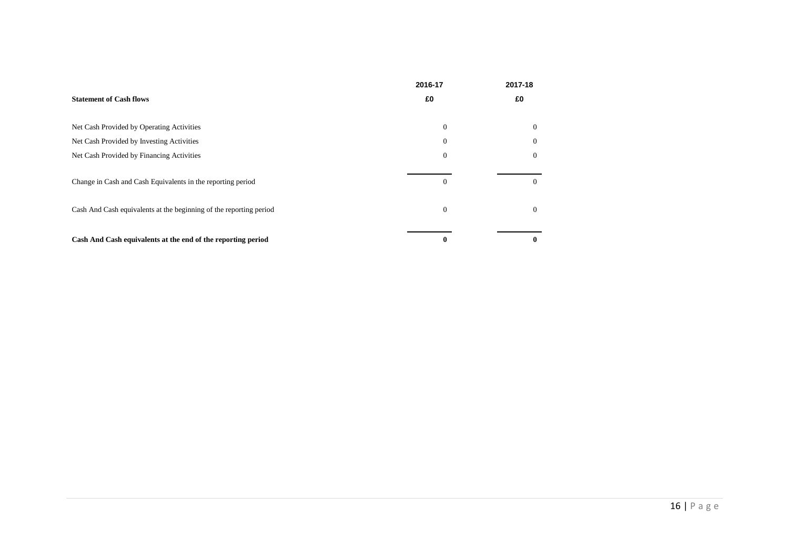|                                                                    | 2016-17      | 2017-18  |
|--------------------------------------------------------------------|--------------|----------|
| <b>Statement of Cash flows</b>                                     | £0           | £0       |
| Net Cash Provided by Operating Activities                          | $\mathbf{0}$ | $\Omega$ |
| Net Cash Provided by Investing Activities                          | $\theta$     | $\Omega$ |
| Net Cash Provided by Financing Activities                          | $\Omega$     | $\Omega$ |
| Change in Cash and Cash Equivalents in the reporting period        | $\Omega$     | $\left($ |
| Cash And Cash equivalents at the beginning of the reporting period | $\mathbf{0}$ | 0        |
| Cash And Cash equivalents at the end of the reporting period       | 0            |          |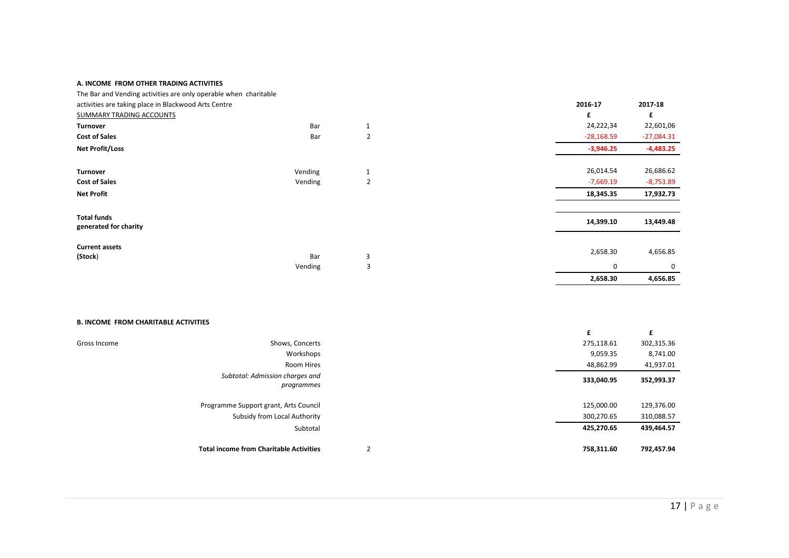#### **A. INCOME FROM OTHER TRADING ACTIVITIES**

| The Bar and Vending activities are only operable when charitable |         |   |              |              |
|------------------------------------------------------------------|---------|---|--------------|--------------|
| activities are taking place in Blackwood Arts Centre             |         |   | 2016-17      | 2017-18      |
| SUMMARY TRADING ACCOUNTS                                         |         |   | £            | £            |
| <b>Turnover</b>                                                  | Bar     | 1 | 24,222,34    | 22,601,06    |
| <b>Cost of Sales</b>                                             | Bar     | 2 | $-28,168.59$ | $-27,084.31$ |
| <b>Net Profit/Loss</b>                                           |         |   | $-3,946.25$  | $-4,483.25$  |
| Turnover                                                         | Vending | 1 | 26,014.54    | 26,686.62    |
| <b>Cost of Sales</b>                                             | Vending | 2 | $-7,669.19$  | $-8,753.89$  |
| <b>Net Profit</b>                                                |         |   | 18,345.35    | 17,932.73    |
| <b>Total funds</b><br>generated for charity                      |         |   | 14,399.10    | 13,449.48    |
| <b>Current assets</b><br>(Stock)                                 | Bar     | 3 | 2,658.30     | 4,656.85     |
|                                                                  | Vending | 3 |              | 0<br>0       |
|                                                                  |         |   | 2,658.30     | 4,656.85     |

#### **B. INCOME FROM CHARITABLE ACTIVITIES**

|              |                                                | £          | £          |
|--------------|------------------------------------------------|------------|------------|
| Gross Income | Shows, Concerts                                | 275,118.61 | 302,315.36 |
|              | Workshops                                      | 9,059.35   | 8,741.00   |
|              | Room Hires                                     | 48,862.99  | 41,937.01  |
|              | Subtotal: Admission charges and<br>programmes  | 333,040.95 | 352,993.37 |
|              | Programme Support grant, Arts Council          | 125,000.00 | 129,376.00 |
|              | Subsidy from Local Authority                   | 300,270.65 | 310,088.57 |
|              | Subtotal                                       | 425,270.65 | 439,464.57 |
|              | <b>Total income from Charitable Activities</b> | 758,311.60 | 792,457.94 |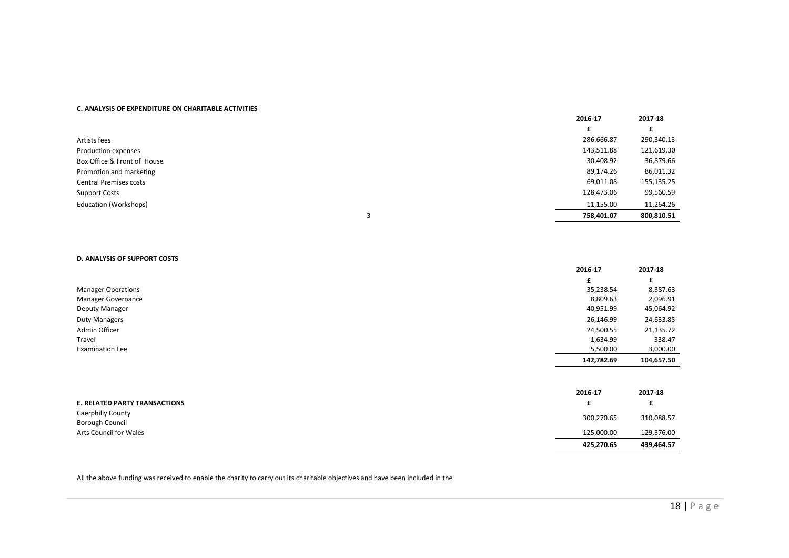#### **C. ANALYSIS OF EXPENDITURE ON CHARITABLE ACTIVITIES**

|                               |   | 2016-17    | 2017-18    |
|-------------------------------|---|------------|------------|
|                               |   |            |            |
| Artists fees                  |   | 286,666.87 | 290,340.13 |
| Production expenses           |   | 143,511.88 | 121,619.30 |
| Box Office & Front of House   |   | 30,408.92  | 36,879.66  |
| Promotion and marketing       |   | 89,174.26  | 86,011.32  |
| <b>Central Premises costs</b> |   | 69,011.08  | 155,135.25 |
| <b>Support Costs</b>          |   | 128,473.06 | 99,560.59  |
| Education (Workshops)         |   | 11,155.00  | 11,264.26  |
|                               | 3 | 758,401.07 | 800,810.51 |

#### **D. ANALYSIS OF SUPPORT COSTS**

|                                      | 2016-17    | 2017-18    |
|--------------------------------------|------------|------------|
|                                      | £          | £          |
| <b>Manager Operations</b>            | 35,238.54  | 8,387.63   |
| Manager Governance                   | 8,809.63   | 2,096.91   |
| Deputy Manager                       | 40,951.99  | 45,064.92  |
| <b>Duty Managers</b>                 | 26,146.99  | 24,633.85  |
| Admin Officer                        | 24,500.55  | 21,135.72  |
| Travel                               | 1,634.99   | 338.47     |
| <b>Examination Fee</b>               | 5,500.00   | 3,000.00   |
|                                      | 142,782.69 | 104,657.50 |
|                                      |            |            |
|                                      | 2016-17    | 2017-18    |
| <b>E. RELATED PARTY TRANSACTIONS</b> | £          | £          |
| <b>Caerphilly County</b>             | 300,270.65 | 310,088.57 |
| <b>Borough Council</b>               |            |            |
| Arts Council for Wales               | 125,000.00 | 129,376.00 |
|                                      | 425,270.65 | 439,464.57 |

All the above funding was received to enable the charity to carry out its charitable objectives and have been included in the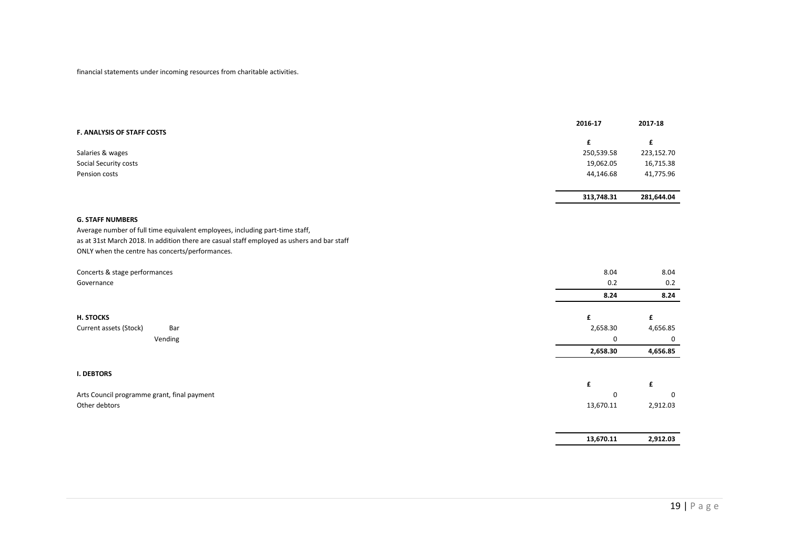financial statements under incoming resources from charitable activities.

|                                                                                            | 2016-17    | 2017-18    |
|--------------------------------------------------------------------------------------------|------------|------------|
| F. ANALYSIS OF STAFF COSTS                                                                 |            |            |
|                                                                                            | £          | £          |
| Salaries & wages                                                                           | 250,539.58 | 223,152.70 |
| Social Security costs                                                                      | 19,062.05  | 16,715.38  |
| Pension costs                                                                              | 44,146.68  | 41,775.96  |
|                                                                                            | 313,748.31 | 281,644.04 |
| <b>G. STAFF NUMBERS</b>                                                                    |            |            |
| Average number of full time equivalent employees, including part-time staff,               |            |            |
| as at 31st March 2018. In addition there are casual staff employed as ushers and bar staff |            |            |
| ONLY when the centre has concerts/performances.                                            |            |            |
| Concerts & stage performances                                                              | 8.04       | 8.04       |
| Governance                                                                                 | 0.2        | 0.2        |
|                                                                                            | 8.24       | 8.24       |
| H. STOCKS                                                                                  | £          | £          |
| Current assets (Stock)<br>Bar                                                              | 2,658.30   | 4,656.85   |
| Vending                                                                                    | 0          | 0          |
|                                                                                            | 2,658.30   | 4,656.85   |
| <b>I. DEBTORS</b>                                                                          |            |            |
|                                                                                            | £          | £          |
| Arts Council programme grant, final payment                                                | 0          | $\Omega$   |
| Other debtors                                                                              | 13,670.11  | 2,912.03   |
|                                                                                            |            |            |
|                                                                                            | 13,670.11  | 2,912.03   |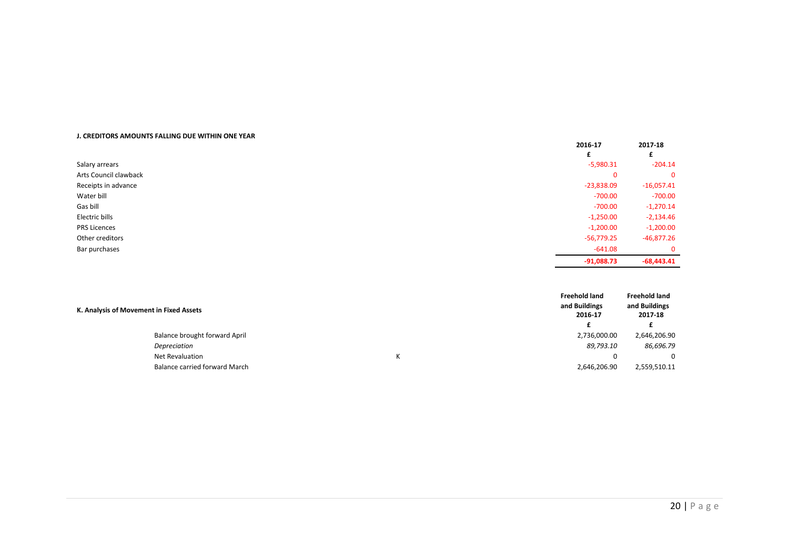#### **J. CREDITORS AMOUNTS FALLING DUE WITHIN ONE YEAR**

|                       | 2016-17      | 2017-18<br>£ |
|-----------------------|--------------|--------------|
| Salary arrears        | $-5,980.31$  | $-204.14$    |
|                       |              |              |
| Arts Council clawback | 0            | $\Omega$     |
| Receipts in advance   | $-23,838.09$ | $-16,057.41$ |
| Water bill            | -700.00      | $-700.00$    |
| Gas bill              | $-700.00$    | $-1,270.14$  |
| Electric bills        | $-1,250.00$  | $-2,134.46$  |
| <b>PRS Licences</b>   | $-1,200.00$  | $-1,200.00$  |
| Other creditors       | $-56,779.25$ | $-46,877.26$ |
| Bar purchases         | $-641.08$    | $\Omega$     |
|                       | $-91,088.73$ | $-68,443.41$ |

|                                         |                               | <b>Freehold land</b>     | <b>Freehold land</b>     |
|-----------------------------------------|-------------------------------|--------------------------|--------------------------|
| K. Analysis of Movement in Fixed Assets |                               | and Buildings<br>2016-17 | and Buildings<br>2017-18 |
|                                         |                               |                          |                          |
|                                         | Balance brought forward April | 2,736,000.00             | 2,646,206.90             |
|                                         | Depreciation                  | 89,793.10                | 86,696.79                |
|                                         | Net Revaluation               | 0                        | 0                        |
|                                         | Balance carried forward March | 2,646,206.90             | 2,559,510.11             |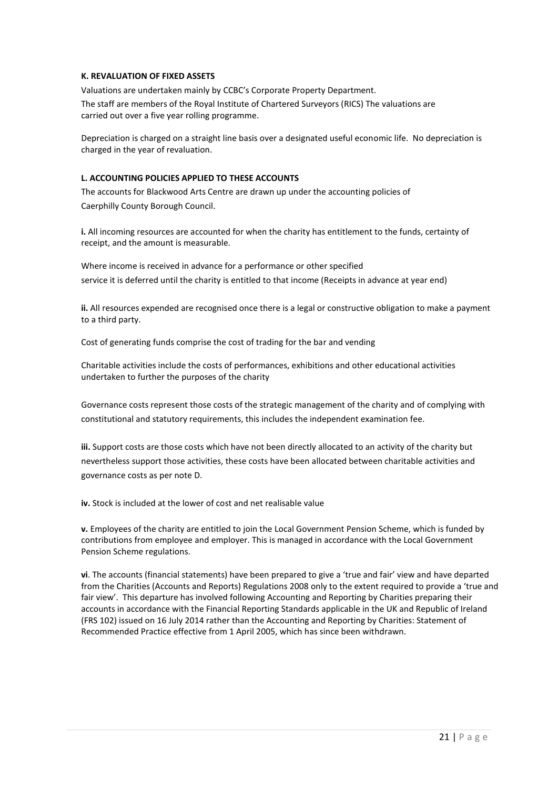#### **K. REVALUATION OF FIXED ASSETS**

Valuations are undertaken mainly by CCBC's Corporate Property Department.

The staff are members of the Royal Institute of Chartered Surveyors (RICS) The valuations are carried out over a five year rolling programme.

Depreciation is charged on a straight line basis over a designated useful economic life. No depreciation is charged in the year of revaluation.

### **L. ACCOUNTING POLICIES APPLIED TO THESE ACCOUNTS**

The accounts for Blackwood Arts Centre are drawn up under the accounting policies of Caerphilly County Borough Council.

**i.** All incoming resources are accounted for when the charity has entitlement to the funds, certainty of receipt, and the amount is measurable.

Where income is received in advance for a performance or other specified service it is deferred until the charity is entitled to that income (Receipts in advance at year end)

**ii.** All resources expended are recognised once there is a legal or constructive obligation to make a payment to a third party.

Cost of generating funds comprise the cost of trading for the bar and vending

Charitable activities include the costs of performances, exhibitions and other educational activities undertaken to further the purposes of the charity

Governance costs represent those costs of the strategic management of the charity and of complying with constitutional and statutory requirements, this includes the independent examination fee.

**iii.** Support costs are those costs which have not been directly allocated to an activity of the charity but nevertheless support those activities, these costs have been allocated between charitable activities and governance costs as per note D.

**iv.** Stock is included at the lower of cost and net realisable value

**v.** Employees of the charity are entitled to join the Local Government Pension Scheme, which is funded by contributions from employee and employer. This is managed in accordance with the Local Government Pension Scheme regulations.

**vi**. The accounts (financial statements) have been prepared to give a 'true and fair' view and have departed from the Charities (Accounts and Reports) Regulations 2008 only to the extent required to provide a 'true and fair view'. This departure has involved following Accounting and Reporting by Charities preparing their accounts in accordance with the Financial Reporting Standards applicable in the UK and Republic of Ireland (FRS 102) issued on 16 July 2014 rather than the Accounting and Reporting by Charities: Statement of Recommended Practice effective from 1 April 2005, which has since been withdrawn.